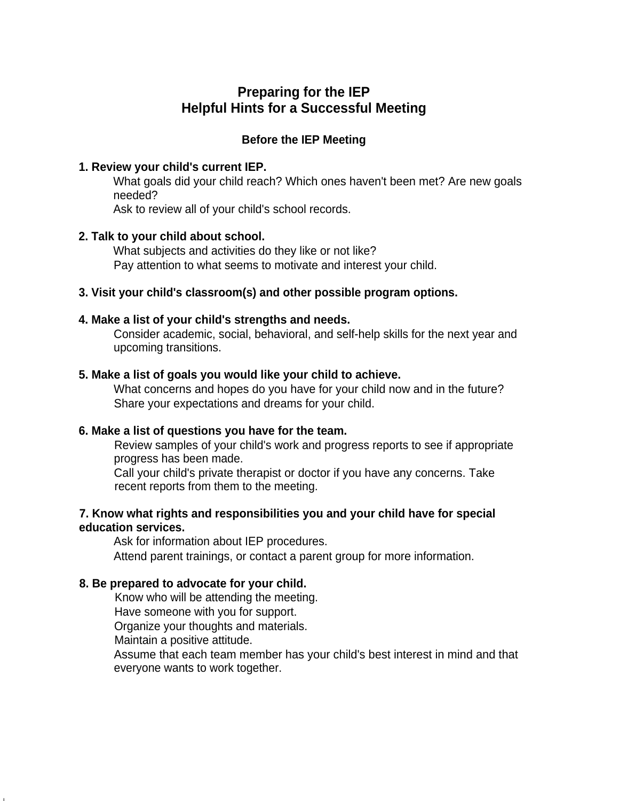# **Preparing for the IEP Helpful Hints for a Successful Meeting**

## **Before the IEP Meeting**

### **1. Review your child's current IEP.**

What goals did your child reach? Which ones haven't been met? Are new goals needed?

Ask to review all of your child's school records.

## **2. Talk to your child about school.**

What subjects and activities do they like or not like? Pay attention to what seems to motivate and interest your child.

## **3. Visit your child's classroom(s) and other possible program options.**

## **4. Make a list of your child's strengths and needs.**

Consider academic, social, behavioral, and self-help skills for the next year and upcoming transitions.

## **5. Make a list of goals you would like your child to achieve.**

What concerns and hopes do you have for your child now and in the future? Share your expectations and dreams for your child.

## **6. Make a list of questions you have for the team.**

Review samples of your child's work and progress reports to see if appropriate progress has been made.

Call your child's private therapist or doctor if you have any concerns. Take recent reports from them to the meeting.

### **7. Know what rights and responsibilities you and your child have for special education services.**

Ask for information about IEP procedures.

Attend parent trainings, or contact a parent group for more information.

## **8. Be prepared to advocate for your child.**

Know who will be attending the meeting.

Have someone with you for support.

Organize your thoughts and materials.

Maintain a positive attitude.

Assume that each team member has your child's best interest in mind and that everyone wants to work together.